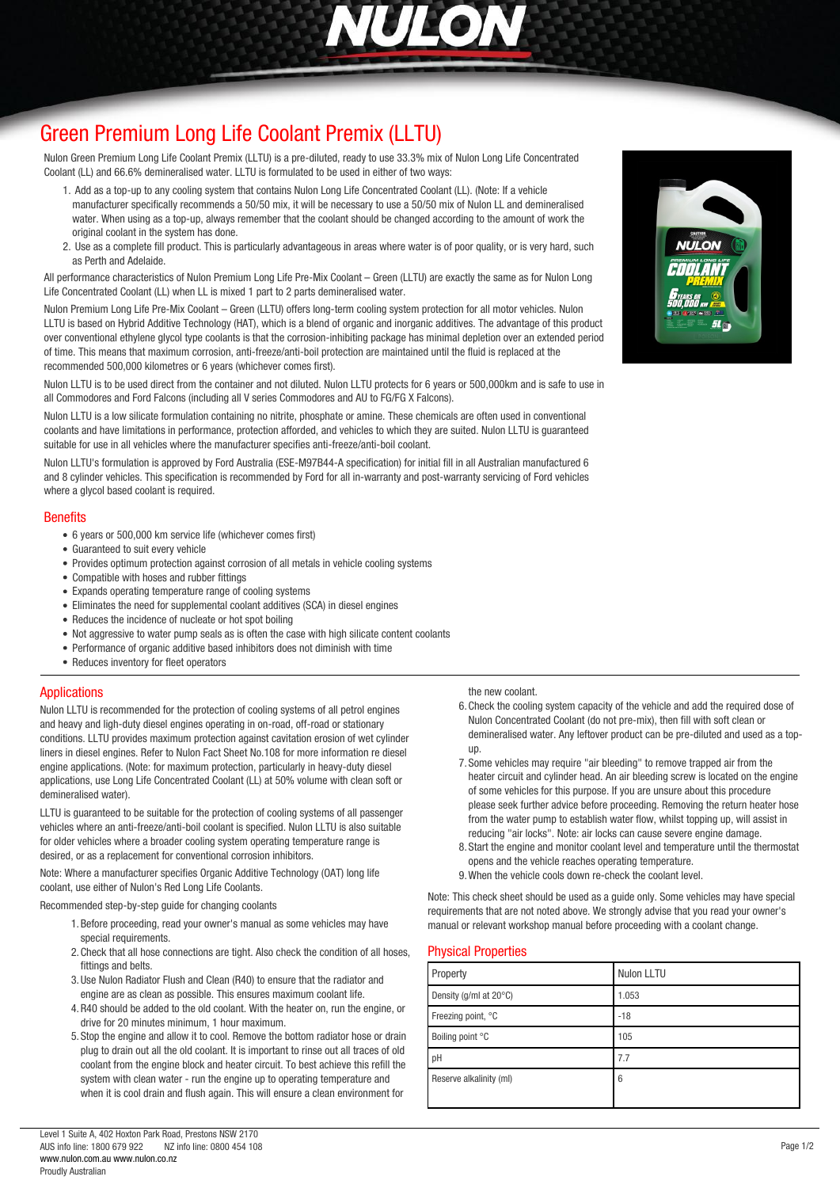

# *[Green Premium Long Life Coolant Premix \(LLTU\)](http://www.nulon.com.au)*

*Nulon Green Premium Long Life Coolant Premix (LLTU) is a pre-diluted, ready to use 33.3% mix of Nulon Long Life Concentrated Coolant (LL) and 66.6% demineralised water. LLTU is formulated to be used in either of two ways:*

- *1. Add as a top-up to any cooling system that contains Nulon Long Life Concentrated Coolant (LL). (Note: If a vehicle manufacturer specifically recommends a 50/50 mix, it will be necessary to use a 50/50 mix of Nulon LL and demineralised water. When using as a top-up, always remember that the coolant should be changed according to the amount of work the original coolant in the system has done.*
- *2. Use as a complete fill product. This is particularly advantageous in areas where water is of poor quality, or is very hard, such as Perth and Adelaide.*

*All performance characteristics of Nulon Premium Long Life Pre-Mix Coolant – Green (LLTU) are exactly the same as for Nulon Long Life Concentrated Coolant (LL) when LL is mixed 1 part to 2 parts demineralised water.*

*Nulon Premium Long Life Pre-Mix Coolant – Green (LLTU) offers long-term cooling system protection for all motor vehicles. Nulon LLTU is based on Hybrid Additive Technology (HAT), which is a blend of organic and inorganic additives. The advantage of this product over conventional ethylene glycol type coolants is that the corrosion-inhibiting package has minimal depletion over an extended period of time. This means that maximum corrosion, anti-freeze/anti-boil protection are maintained until the fluid is replaced at the recommended 500,000 kilometres or 6 years (whichever comes first).*

*Nulon LLTU is to be used direct from the container and not diluted. Nulon LLTU protects for 6 years or 500,000km and is safe to use in all Commodores and Ford Falcons (including all V series Commodores and AU to FG/FG X Falcons).*

*Nulon LLTU is a low silicate formulation containing no nitrite, phosphate or amine. These chemicals are often used in conventional coolants and have limitations in performance, protection afforded, and vehicles to which they are suited. Nulon LLTU is guaranteed suitable for use in all vehicles where the manufacturer specifies anti-freeze/anti-boil coolant.*

*Nulon LLTU's formulation is approved by Ford Australia (ESE-M97B44-A specification) for initial fill in all Australian manufactured 6 and 8 cylinder vehicles. This specification is recommended by Ford for all in-warranty and post-warranty servicing of Ford vehicles where a glycol based coolant is required.*

### *Benefits*

- *6 years or 500,000 km service life (whichever comes first)*
- *Guaranteed to suit every vehicle*
- *Provides optimum protection against corrosion of all metals in vehicle cooling systems*
- *Compatible with hoses and rubber fittings*
- *Expands operating temperature range of cooling systems*
- *Eliminates the need for supplemental coolant additives (SCA) in diesel engines*
- *Reduces the incidence of nucleate or hot spot boiling*
- *Not aggressive to water pump seals as is often the case with high silicate content coolants*
- *Performance of organic additive based inhibitors does not diminish with time*
- *Reduces inventory for fleet operators*

### *Applications*

*Nulon LLTU is recommended for the protection of cooling systems of all petrol engines and heavy and ligh-duty diesel engines operating in on-road, off-road or stationary conditions. LLTU provides maximum protection against cavitation erosion of wet cylinder liners in diesel engines. Refer to Nulon Fact Sheet No.108 for more information re diesel engine applications. (Note: for maximum protection, particularly in heavy-duty diesel applications, use Long Life Concentrated Coolant (LL) at 50% volume with clean soft or demineralised water).*

*LLTU is guaranteed to be suitable for the protection of cooling systems of all passenger vehicles where an anti-freeze/anti-boil coolant is specified. Nulon LLTU is also suitable for older vehicles where a broader cooling system operating temperature range is desired, or as a replacement for conventional corrosion inhibitors.*

*Note: Where a manufacturer specifies Organic Additive Technology (OAT) long life coolant, use either of Nulon's Red Long Life Coolants.*

*Recommended step-by-step guide for changing coolants*

- *1.Before proceeding, read your owner's manual as some vehicles may have special requirements.*
- *2.Check that all hose connections are tight. Also check the condition of all hoses, fittings and belts.*
- *3.Use Nulon Radiator Flush and Clean (R40) to ensure that the radiator and engine are as clean as possible. This ensures maximum coolant life.*
- *4.R40 should be added to the old coolant. With the heater on, run the engine, or drive for 20 minutes minimum, 1 hour maximum.*
- *5. Stop the engine and allow it to cool. Remove the bottom radiator hose or drain plug to drain out all the old coolant. It is important to rinse out all traces of old coolant from the engine block and heater circuit. To best achieve this refill the system with clean water - run the engine up to operating temperature and when it is cool drain and flush again. This will ensure a clean environment for*

*the new coolant.*

- *6.Check the cooling system capacity of the vehicle and add the required dose of Nulon Concentrated Coolant (do not pre-mix), then fill with soft clean or demineralised water. Any leftover product can be pre-diluted and used as a topup.*
- *7. Some vehicles may require "air bleeding" to remove trapped air from the heater circuit and cylinder head. An air bleeding screw is located on the engine of some vehicles for this purpose. If you are unsure about this procedure please seek further advice before proceeding. Removing the return heater hose from the water pump to establish water flow, whilst topping up, will assist in reducing "air locks". Note: air locks can cause severe engine damage.*
- *8. Start the engine and monitor coolant level and temperature until the thermostat opens and the vehicle reaches operating temperature.*
- *9.When the vehicle cools down re-check the coolant level.*

*Note: This check sheet should be used as a guide only. Some vehicles may have special requirements that are not noted above. We strongly advise that you read your owner's manual or relevant workshop manual before proceeding with a coolant change.*

### *Physical Properties*

| Property                | Nulon LLTU |
|-------------------------|------------|
| Density (g/ml at 20°C)  | 1.053      |
| Freezing point, °C      | $-18$      |
| Boiling point °C        | 105        |
| pH                      | 7.7        |
| Reserve alkalinity (ml) | 6          |